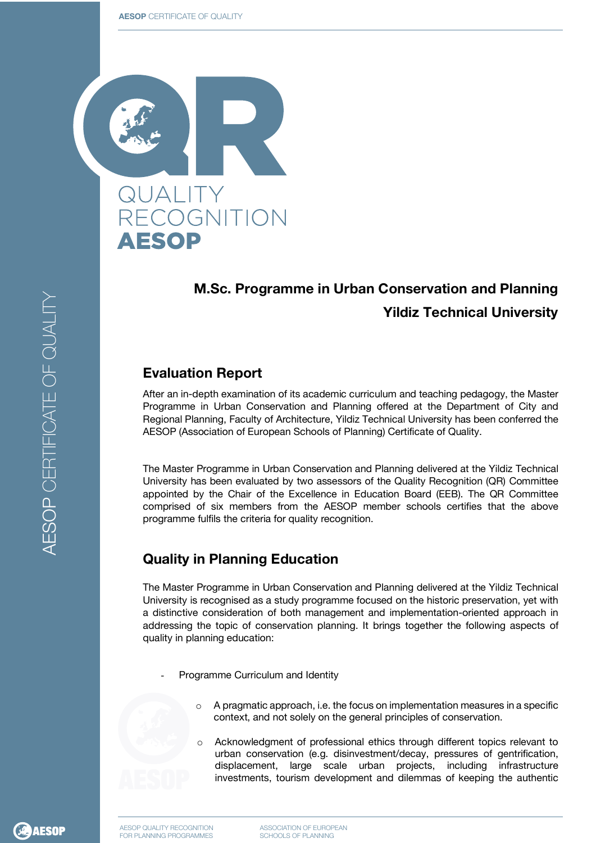

# **M.Sc. Programme in Urban Conservation and Planning Yildiz Technical University**

### **Evaluation Report**

After an in-depth examination of its academic curriculum and teaching pedagogy, the Master Programme in Urban Conservation and Planning offered at the Department of City and Regional Planning, Faculty of Architecture, Yildiz Technical University has been conferred the AESOP (Association of European Schools of Planning) Certificate of Quality.

The Master Programme in Urban Conservation and Planning delivered at the Yildiz Technical University has been evaluated by two assessors of the Quality Recognition (QR) Committee appointed by the Chair of the Excellence in Education Board (EEB). The QR Committee comprised of six members from the AESOP member schools certifies that the above programme fulfils the criteria for quality recognition.

## **Quality in Planning Education**

The Master Programme in Urban Conservation and Planning delivered at the Yildiz Technical University is recognised as a study programme focused on the historic preservation, yet with a distinctive consideration of both management and implementation-oriented approach in addressing the topic of conservation planning. It brings together the following aspects of quality in planning education:

- Programme Curriculum and Identity
	- $\circ$  A pragmatic approach, i.e. the focus on implementation measures in a specific context, and not solely on the general principles of conservation.
	- o Acknowledgment of professional ethics through different topics relevant to urban conservation (e.g. disinvestment/decay, pressures of gentrification, displacement, large scale urban projects, including infrastructure investments, tourism development and dilemmas of keeping the authentic

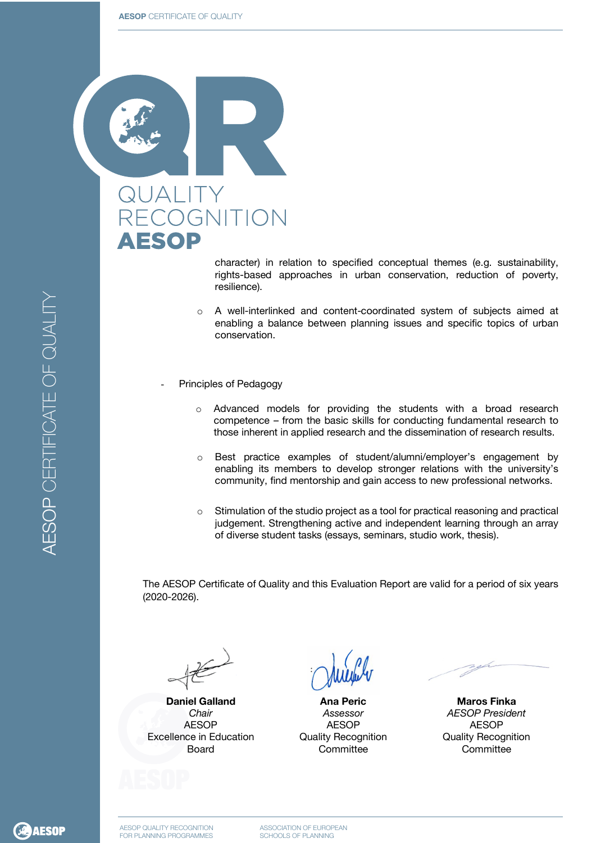

character) in relation to specified conceptual themes (e.g. sustainability, rights-based approaches in urban conservation, reduction of poverty, resilience).

- o A well-interlinked and content-coordinated system of subjects aimed at enabling a balance between planning issues and specific topics of urban conservation.
- Principles of Pedagogy
	- o Advanced models for providing the students with a broad research competence – from the basic skills for conducting fundamental research to those inherent in applied research and the dissemination of research results.
	- o Best practice examples of student/alumni/employer's engagement by enabling its members to develop stronger relations with the university's community, find mentorship and gain access to new professional networks.
	- $\circ$  Stimulation of the studio project as a tool for practical reasoning and practical judgement. Strengthening active and independent learning through an array of diverse student tasks (essays, seminars, studio work, thesis).

The AESOP Certificate of Quality and this Evaluation Report are valid for a period of six years (2020-2026).

**Daniel Galland** *Chair* AESOP Excellence in Education Board

**Ana Peric** *Assessor* AESOP Quality Recognition **Committee** 

**Maros Finka** *AESOP President* AESOP Quality Recognition **Committee**